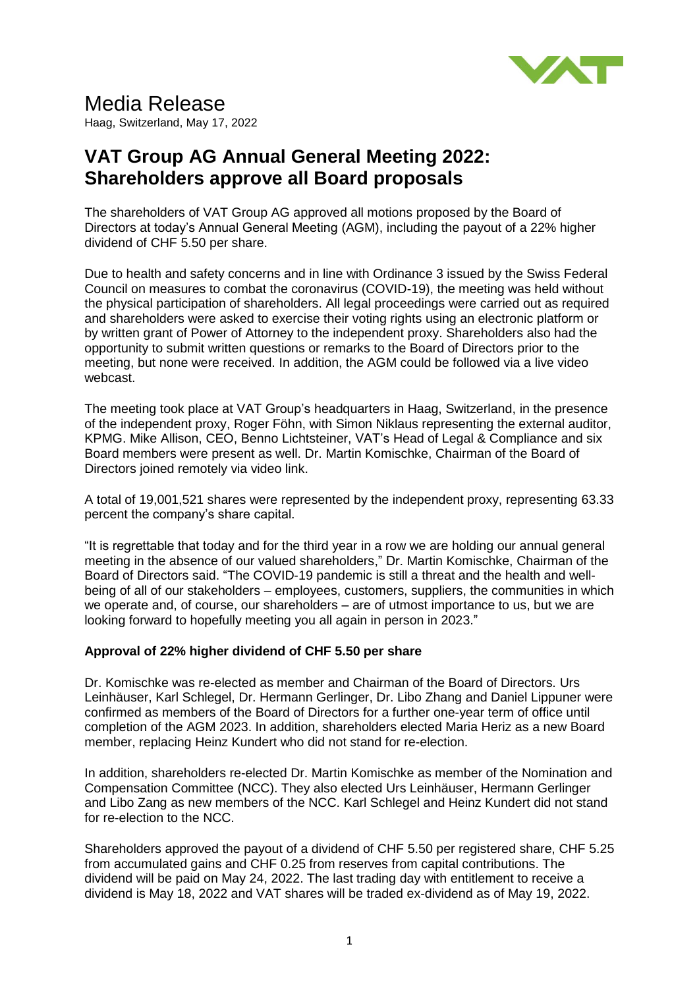

# Media Release

Haag, Switzerland, May 17, 2022

## **VAT Group AG Annual General Meeting 2022: Shareholders approve all Board proposals**

The shareholders of VAT Group AG approved all motions proposed by the Board of Directors at today's Annual General Meeting (AGM), including the payout of a 22% higher dividend of CHF 5.50 per share.

Due to health and safety concerns and in line with Ordinance 3 issued by the Swiss Federal Council on measures to combat the coronavirus (COVID-19), the meeting was held without the physical participation of shareholders. All legal proceedings were carried out as required and shareholders were asked to exercise their voting rights using an electronic platform or by written grant of Power of Attorney to the independent proxy. Shareholders also had the opportunity to submit written questions or remarks to the Board of Directors prior to the meeting, but none were received. In addition, the AGM could be followed via a live video webcast.

The meeting took place at VAT Group's headquarters in Haag, Switzerland, in the presence of the independent proxy, Roger Föhn, with Simon Niklaus representing the external auditor, KPMG. Mike Allison, CEO, Benno Lichtsteiner, VAT's Head of Legal & Compliance and six Board members were present as well. Dr. Martin Komischke, Chairman of the Board of Directors joined remotely via video link.

A total of 19,001,521 shares were represented by the independent proxy, representing 63.33 percent the company's share capital.

"It is regrettable that today and for the third year in a row we are holding our annual general meeting in the absence of our valued shareholders," Dr. Martin Komischke, Chairman of the Board of Directors said. "The COVID-19 pandemic is still a threat and the health and wellbeing of all of our stakeholders – employees, customers, suppliers, the communities in which we operate and, of course, our shareholders – are of utmost importance to us, but we are looking forward to hopefully meeting you all again in person in 2023."

### **Approval of 22% higher dividend of CHF 5.50 per share**

Dr. Komischke was re-elected as member and Chairman of the Board of Directors. Urs Leinhäuser, Karl Schlegel, Dr. Hermann Gerlinger, Dr. Libo Zhang and Daniel Lippuner were confirmed as members of the Board of Directors for a further one-year term of office until completion of the AGM 2023. In addition, shareholders elected Maria Heriz as a new Board member, replacing Heinz Kundert who did not stand for re-election.

In addition, shareholders re-elected Dr. Martin Komischke as member of the Nomination and Compensation Committee (NCC). They also elected Urs Leinhäuser, Hermann Gerlinger and Libo Zang as new members of the NCC. Karl Schlegel and Heinz Kundert did not stand for re-election to the NCC.

Shareholders approved the payout of a dividend of CHF 5.50 per registered share, CHF 5.25 from accumulated gains and CHF 0.25 from reserves from capital contributions. The dividend will be paid on May 24, 2022. The last trading day with entitlement to receive a dividend is May 18, 2022 and VAT shares will be traded ex-dividend as of May 19, 2022.